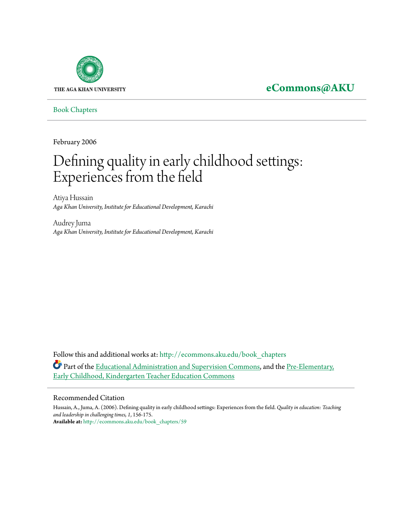

# **[eCommons@AKU](http://ecommons.aku.edu?utm_source=ecommons.aku.edu%2Fbook_chapters%2F59&utm_medium=PDF&utm_campaign=PDFCoverPages)**

[Book Chapters](http://ecommons.aku.edu/book_chapters?utm_source=ecommons.aku.edu%2Fbook_chapters%2F59&utm_medium=PDF&utm_campaign=PDFCoverPages)

February 2006

# Defining quality in early childhood settings: Experiences from the field

Atiya Hussain *Aga Khan University, Institute for Educational Development, Karachi*

Audrey Juma *Aga Khan University, Institute for Educational Development, Karachi*

Follow this and additional works at: [http://ecommons.aku.edu/book\\_chapters](http://ecommons.aku.edu/book_chapters?utm_source=ecommons.aku.edu%2Fbook_chapters%2F59&utm_medium=PDF&utm_campaign=PDFCoverPages) Part of the [Educational Administration and Supervision Commons,](http://network.bepress.com/hgg/discipline/787?utm_source=ecommons.aku.edu%2Fbook_chapters%2F59&utm_medium=PDF&utm_campaign=PDFCoverPages) and the [Pre-Elementary,](http://network.bepress.com/hgg/discipline/808?utm_source=ecommons.aku.edu%2Fbook_chapters%2F59&utm_medium=PDF&utm_campaign=PDFCoverPages) [Early Childhood, Kindergarten Teacher Education Commons](http://network.bepress.com/hgg/discipline/808?utm_source=ecommons.aku.edu%2Fbook_chapters%2F59&utm_medium=PDF&utm_campaign=PDFCoverPages)

#### Recommended Citation

Hussain, A., Juma, A. (2006). Defining quality in early childhood settings: Experiences from the field. *Quality in education: Teaching and leadership in challenging times, 1*, 156-175. **Available at:** [http://ecommons.aku.edu/book\\_chapters/59](http://ecommons.aku.edu/book_chapters/59)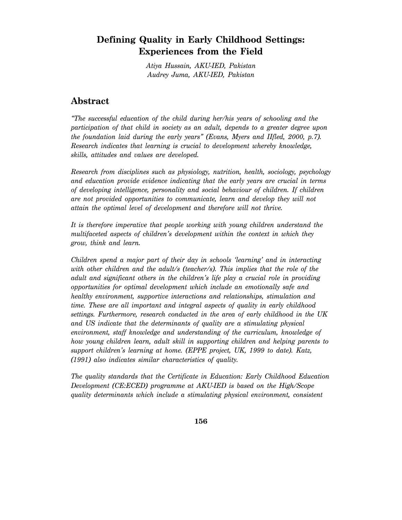# **Defining Quality in Early Childhood Settings: Experiences from the Field**

*Atiya Hussain, AKU-IED, Pakistan Audrey Juma, AKU-IED, Pakistan* 

# **Abstract**

*"The successful education of the child during her/his years of schooling and the participation of that child in society as an adult, depends to a greater degree upon the foundation laid during the early years" (Evans, Myers and IIfled, 2000, p.7). Research indicates that learning is crucial to development whereby knowledge, skills, attitudes and values are developed.* 

*Research from disciplines such as physiology, nutrition, health, sociology, psychology and education provide evidence indicating that the early years are crucial in terms of developing intelligence, personality and social behaviour of children. If children are not provided opportunities to communicate, learn and develop they will not attain the optimal level of development and therefore will not thrive.* 

*It is therefore imperative that people working with young children understand the multifaceted aspects of children's development within the context in which they grow, think and learn.* 

*Children spend a major part of their day in schools 'learning' and in interacting with other children and the adult/s (teacher/s). This implies that the role of the adult and significant others in the children's life play a crucial role in providing opportunities for optimal development which include an emotionally safe and healthy environment, supportive interactions and relationships, stimulation and time. These are all important and integral aspects of quality in early childhood settings. Furthermore, research conducted in the area of early childhood in the UK and US indicate that the determinants of quality are a stimulating physical environment, staff knowledge and understanding of the curriculum, knowledge of how young children learn, adult skill in supporting children and helping parents to support children's learning at home. (EPPE project, UK, 1999 to date). Katz, (1991) also indicates similar characteristics of quality.* 

*The quality standards that the Certificate in Education: Early Childhood Education Development (CE:ECED) programme at AKU-IED is based on the High/Scope quality determinants which include a stimulating physical environment, consistent*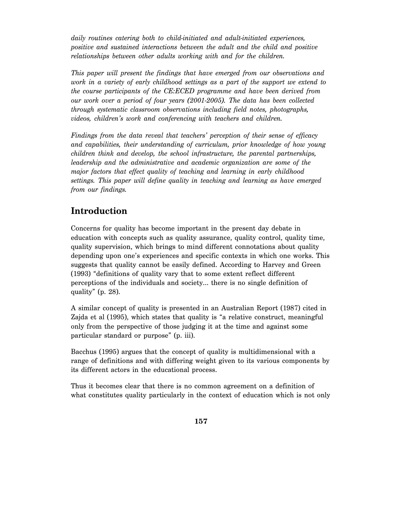*daily routines catering both to child-initiated and adult-initiated experiences, positive and sustained interactions between the adult and the child and positive relationships between other adults working with and for the children.* 

*This paper will present the findings that have emerged from our observations and work in a variety of early childhood settings as a part of the support we extend to the course participants of the CE:ECED programme and have been derived from our work over a period of four years (2001-2005). The data has been collected through systematic classroom observations including field notes, photographs, videos, children's work and conferencing with teachers and children.* 

*Findings from the data reveal that teachers' perception of their sense of efficacy and capabilities, their understanding of curriculum, prior knowledge of how young children think and develop, the school infrastructure, the parental partnerships, leadership and the administrative and academic organization are some of the major factors that effect quality of teaching and learning in early childhood settings. This paper will define quality in teaching and learning as have emerged from our findings.* 

# **Introduction**

Concerns for quality has become important in the present day debate in education with concepts such as quality assurance, quality control, quality time, quality supervision, which brings to mind different connotations about quality depending upon one's experiences and specific contexts in which one works. This suggests that quality cannot be easily defined. According to Harvey and Green (1993) "definitions of quality vary that to some extent reflect different perceptions of the individuals and society… there is no single definition of quality" (p. 28).

A similar concept of quality is presented in an Australian Report (1987) cited in Zajda et al (1995), which states that quality is "a relative construct, meaningful only from the perspective of those judging it at the time and against some particular standard or purpose" (p. iii).

Bacchus (1995) argues that the concept of quality is multidimensional with a range of definitions and with differing weight given to its various components by its different actors in the educational process.

Thus it becomes clear that there is no common agreement on a definition of what constitutes quality particularly in the context of education which is not only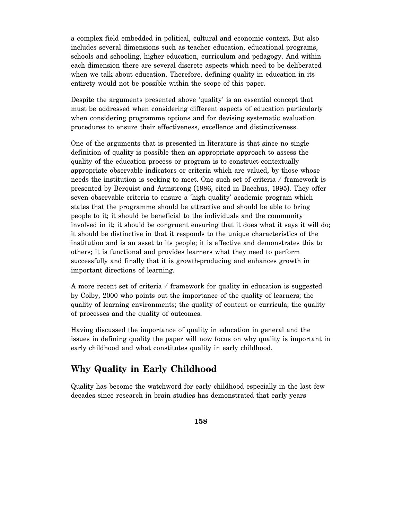a complex field embedded in political, cultural and economic context. But also includes several dimensions such as teacher education, educational programs, schools and schooling, higher education, curriculum and pedagogy. And within each dimension there are several discrete aspects which need to be deliberated when we talk about education. Therefore, defining quality in education in its entirety would not be possible within the scope of this paper.

Despite the arguments presented above 'quality' is an essential concept that must be addressed when considering different aspects of education particularly when considering programme options and for devising systematic evaluation procedures to ensure their effectiveness, excellence and distinctiveness.

One of the arguments that is presented in literature is that since no single definition of quality is possible then an appropriate approach to assess the quality of the education process or program is to construct contextually appropriate observable indicators or criteria which are valued, by those whose needs the institution is seeking to meet. One such set of criteria / framework is presented by Berquist and Armstrong (1986, cited in Bacchus, 1995). They offer seven observable criteria to ensure a 'high quality' academic program which states that the programme should be attractive and should be able to bring people to it; it should be beneficial to the individuals and the community involved in it; it should be congruent ensuring that it does what it says it will do; it should be distinctive in that it responds to the unique characteristics of the institution and is an asset to its people; it is effective and demonstrates this to others; it is functional and provides learners what they need to perform successfully and finally that it is growth-producing and enhances growth in important directions of learning.

A more recent set of criteria / framework for quality in education is suggested by Colby, 2000 who points out the importance of the quality of learners; the quality of learning environments; the quality of content or curricula; the quality of processes and the quality of outcomes.

Having discussed the importance of quality in education in general and the issues in defining quality the paper will now focus on why quality is important in early childhood and what constitutes quality in early childhood.

# **Why Quality in Early Childhood**

Quality has become the watchword for early childhood especially in the last few decades since research in brain studies has demonstrated that early years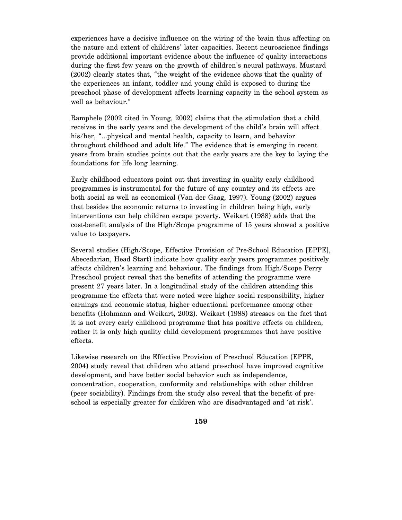experiences have a decisive influence on the wiring of the brain thus affecting on the nature and extent of childrens' later capacities. Recent neuroscience findings provide additional important evidence about the influence of quality interactions during the first few years on the growth of children's neural pathways. Mustard (2002) clearly states that, "the weight of the evidence shows that the quality of the experiences an infant, toddler and young child is exposed to during the preschool phase of development affects learning capacity in the school system as well as behaviour."

Ramphele (2002 cited in Young, 2002) claims that the stimulation that a child receives in the early years and the development of the child's brain will affect his/her, "...physical and mental health, capacity to learn, and behavior throughout childhood and adult life." The evidence that is emerging in recent years from brain studies points out that the early years are the key to laying the foundations for life long learning.

Early childhood educators point out that investing in quality early childhood programmes is instrumental for the future of any country and its effects are both social as well as economical (Van der Gaag, 1997). Young (2002) argues that besides the economic returns to investing in children being high, early interventions can help children escape poverty. Weikart (1988) adds that the cost-benefit analysis of the High/Scope programme of 15 years showed a positive value to taxpayers.

Several studies (High/Scope, Effective Provision of Pre-School Education [EPPE], Abecedarian, Head Start) indicate how quality early years programmes positively affects children's learning and behaviour. The findings from High/Scope Perry Preschool project reveal that the benefits of attending the programme were present 27 years later. In a longitudinal study of the children attending this programme the effects that were noted were higher social responsibility, higher earnings and economic status, higher educational performance among other benefits (Hohmann and Weikart, 2002). Weikart (1988) stresses on the fact that it is not every early childhood programme that has positive effects on children, rather it is only high quality child development programmes that have positive effects.

Likewise research on the Effective Provision of Preschool Education (EPPE, 2004) study reveal that children who attend pre-school have improved cognitive development, and have better social behavior such as independence, concentration, cooperation, conformity and relationships with other children (peer sociability). Findings from the study also reveal that the benefit of preschool is especially greater for children who are disadvantaged and 'at risk'.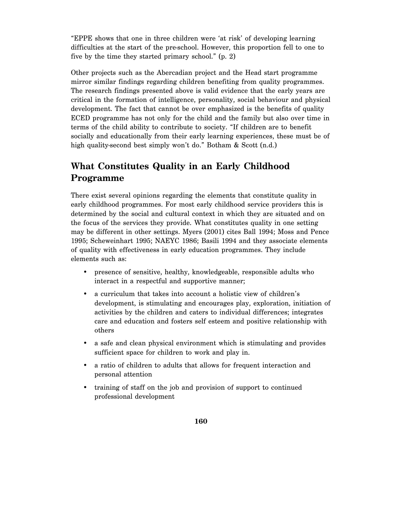"EPPE shows that one in three children were 'at risk' of developing learning difficulties at the start of the pre-school. However, this proportion fell to one to five by the time they started primary school." (p. 2)

Other projects such as the Abercadian project and the Head start programme mirror similar findings regarding children benefiting from quality programmes. The research findings presented above is valid evidence that the early years are critical in the formation of intelligence, personality, social behaviour and physical development. The fact that cannot be over emphasized is the benefits of quality ECED programme has not only for the child and the family but also over time in terms of the child ability to contribute to society. "If children are to benefit socially and educationally from their early learning experiences, these must be of high quality-second best simply won't do." Botham & Scott (n.d.)

# **What Constitutes Quality in an Early Childhood Programme**

There exist several opinions regarding the elements that constitute quality in early childhood programmes. For most early childhood service providers this is determined by the social and cultural context in which they are situated and on the focus of the services they provide. What constitutes quality in one setting may be different in other settings. Myers (2001) cites Ball 1994; Moss and Pence 1995; Scheweinhart 1995; NAEYC 1986; Basili 1994 and they associate elements of quality with effectiveness in early education programmes. They include elements such as:

- presence of sensitive, healthy, knowledgeable, responsible adults who interact in a respectful and supportive manner;
- a curriculum that takes into account a holistic view of children's development, is stimulating and encourages play, exploration, initiation of activities by the children and caters to individual differences; integrates care and education and fosters self esteem and positive relationship with others
- a safe and clean physical environment which is stimulating and provides sufficient space for children to work and play in.
- a ratio of children to adults that allows for frequent interaction and personal attention
- training of staff on the job and provision of support to continued professional development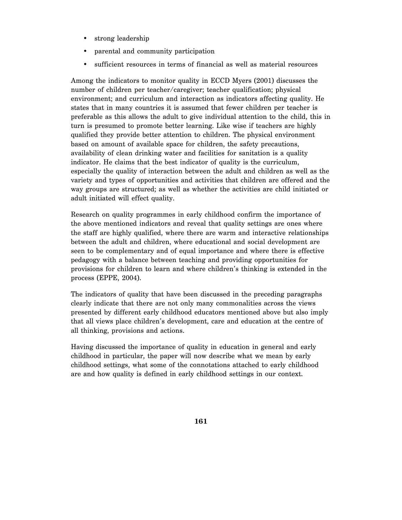- strong leadership
- parental and community participation
- sufficient resources in terms of financial as well as material resources

Among the indicators to monitor quality in ECCD Myers (2001) discusses the number of children per teacher/caregiver; teacher qualification; physical environment; and curriculum and interaction as indicators affecting quality. He states that in many countries it is assumed that fewer children per teacher is preferable as this allows the adult to give individual attention to the child, this in turn is presumed to promote better learning. Like wise if teachers are highly qualified they provide better attention to children. The physical environment based on amount of available space for children, the safety precautions, availability of clean drinking water and facilities for sanitation is a quality indicator. He claims that the best indicator of quality is the curriculum, especially the quality of interaction between the adult and children as well as the variety and types of opportunities and activities that children are offered and the way groups are structured; as well as whether the activities are child initiated or adult initiated will effect quality.

Research on quality programmes in early childhood confirm the importance of the above mentioned indicators and reveal that quality settings are ones where the staff are highly qualified, where there are warm and interactive relationships between the adult and children, where educational and social development are seen to be complementary and of equal importance and where there is effective pedagogy with a balance between teaching and providing opportunities for provisions for children to learn and where children's thinking is extended in the process (EPPE, 2004).

The indicators of quality that have been discussed in the preceding paragraphs clearly indicate that there are not only many commonalities across the views presented by different early childhood educators mentioned above but also imply that all views place children's development, care and education at the centre of all thinking, provisions and actions.

Having discussed the importance of quality in education in general and early childhood in particular, the paper will now describe what we mean by early childhood settings, what some of the connotations attached to early childhood are and how quality is defined in early childhood settings in our context.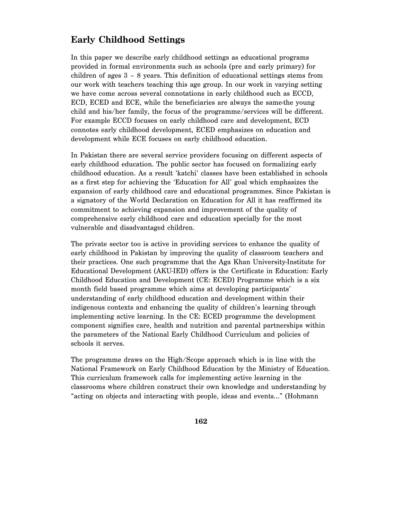# **Early Childhood Settings**

In this paper we describe early childhood settings as educational programs provided in formal environments such as schools (pre and early primary) for children of ages 3 – 8 years. This definition of educational settings stems from our work with teachers teaching this age group. In our work in varying setting we have come across several connotations in early childhood such as ECCD, ECD, ECED and ECE, while the beneficiaries are always the same-the young child and his/her family, the focus of the programme/services will be different. For example ECCD focuses on early childhood care and development, ECD connotes early childhood development, ECED emphasizes on education and development while ECE focuses on early childhood education.

In Pakistan there are several service providers focusing on different aspects of early childhood education. The public sector has focused on formalizing early childhood education. As a result 'katchi' classes have been established in schools as a first step for achieving the 'Education for All' goal which emphasizes the expansion of early childhood care and educational programmes. Since Pakistan is a signatory of the World Declaration on Education for All it has reaffirmed its commitment to achieving expansion and improvement of the quality of comprehensive early childhood care and education specially for the most vulnerable and disadvantaged children.

The private sector too is active in providing services to enhance the quality of early childhood in Pakistan by improving the quality of classroom teachers and their practices. One such programme that the Aga Khan University-Institute for Educational Development (AKU-IED) offers is the Certificate in Education: Early Childhood Education and Development (CE: ECED) Programme which is a six month field based programme which aims at developing participants' understanding of early childhood education and development within their indigenous contexts and enhancing the quality of children's learning through implementing active learning. In the CE: ECED programme the development component signifies care, health and nutrition and parental partnerships within the parameters of the National Early Childhood Curriculum and policies of schools it serves.

The programme draws on the High/Scope approach which is in line with the National Framework on Early Childhood Education by the Ministry of Education. This curriculum framework calls for implementing active learning in the classrooms where children construct their own knowledge and understanding by "acting on objects and interacting with people, ideas and events…" (Hohmann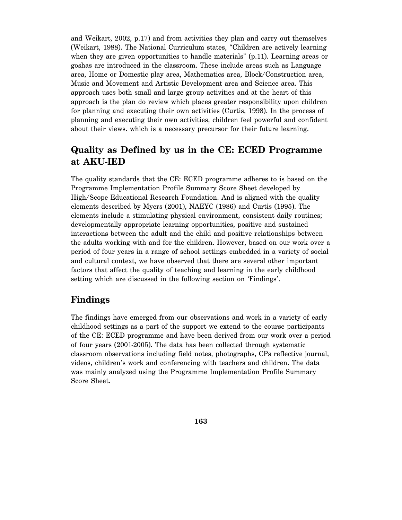and Weikart, 2002, p.17) and from activities they plan and carry out themselves (Weikart, 1988). The National Curriculum states, "Children are actively learning when they are given opportunities to handle materials" (p.11). Learning areas or goshas are introduced in the classroom. These include areas such as Language area, Home or Domestic play area, Mathematics area, Block/Construction area, Music and Movement and Artistic Development area and Science area. This approach uses both small and large group activities and at the heart of this approach is the plan do review which places greater responsibility upon children for planning and executing their own activities (Curtis, 1998). In the process of planning and executing their own activities, children feel powerful and confident about their views. which is a necessary precursor for their future learning.

# **Quality as Defined by us in the CE: ECED Programme at AKU-IED**

The quality standards that the CE: ECED programme adheres to is based on the Programme Implementation Profile Summary Score Sheet developed by High/Scope Educational Research Foundation. And is aligned with the quality elements described by Myers (2001), NAEYC (1986) and Curtis (1995). The elements include a stimulating physical environment, consistent daily routines; developmentally appropriate learning opportunities, positive and sustained interactions between the adult and the child and positive relationships between the adults working with and for the children. However, based on our work over a period of four years in a range of school settings embedded in a variety of social and cultural context, we have observed that there are several other important factors that affect the quality of teaching and learning in the early childhood setting which are discussed in the following section on 'Findings'.

### **Findings**

The findings have emerged from our observations and work in a variety of early childhood settings as a part of the support we extend to the course participants of the CE: ECED programme and have been derived from our work over a period of four years (2001-2005). The data has been collected through systematic classroom observations including field notes, photographs, CPs reflective journal, videos, children's work and conferencing with teachers and children. The data was mainly analyzed using the Programme Implementation Profile Summary Score Sheet.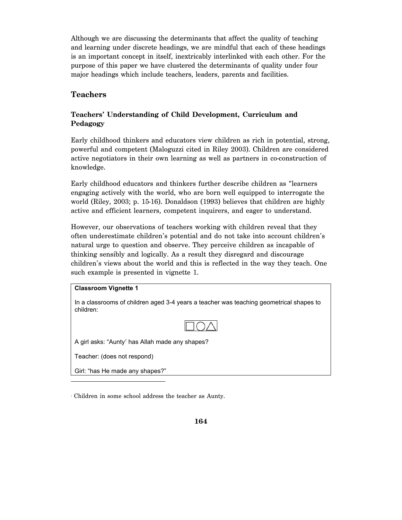Although we are discussing the determinants that affect the quality of teaching and learning under discrete headings, we are mindful that each of these headings is an important concept in itself, inextricably interlinked with each other. For the purpose of this paper we have clustered the determinants of quality under four major headings which include teachers, leaders, parents and facilities.

### **Teachers**

### **Teachers' Understanding of Child Development, Curriculum and Pedagogy**

Early childhood thinkers and educators view children as rich in potential, strong, powerful and competent (Maloguzzi cited in Riley 2003). Children are considered active negotiators in their own learning as well as partners in co-construction of knowledge.

Early childhood educators and thinkers further describe children as "learners engaging actively with the world, who are born well equipped to interrogate the world (Riley, 2003; p. 15-16). Donaldson (1993) believes that children are highly active and efficient learners, competent inquirers, and eager to understand.

However, our observations of teachers working with children reveal that they often underestimate children's potential and do not take into account children's natural urge to question and observe. They perceive children as incapable of thinking sensibly and logically. As a result they disregard and discourage children's views about the world and this is reflected in the way they teach. One such example is presented in vignette 1.

#### **Classroom Vignette 1**

In a classrooms of children aged 3-4 years a teacher was teaching geometrical shapes to children:



A girl asks: "Aunty<sup>1</sup> has Allah made any shapes?

Teacher: (does not respond)

-

Girl: "has He made any shapes?"

1 Children in some school address the teacher as Aunty.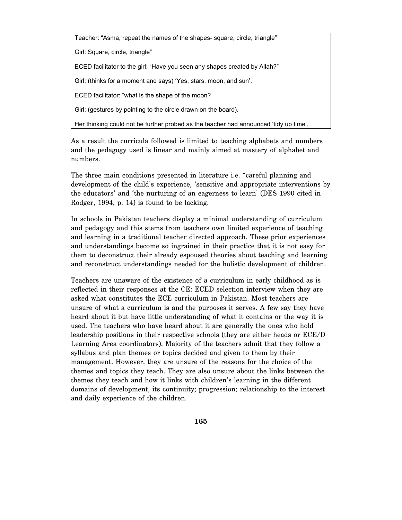Teacher: "Asma, repeat the names of the shapes- square, circle, triangle"

Girl: Square, circle, triangle"

ECED facilitator to the girl: "Have you seen any shapes created by Allah?"

Girl: (thinks for a moment and says) 'Yes, stars, moon, and sun'.

ECED facilitator: "what is the shape of the moon?

Girl: (gestures by pointing to the circle drawn on the board).

Her thinking could not be further probed as the teacher had announced 'tidy up time'.

As a result the curricula followed is limited to teaching alphabets and numbers and the pedagogy used is linear and mainly aimed at mastery of alphabet and numbers.

The three main conditions presented in literature i.e. "careful planning and development of the child's experience, 'sensitive and appropriate interventions by the educators' and 'the nurturing of an eagerness to learn' (DES 1990 cited in Rodger, 1994, p. 14) is found to be lacking.

In schools in Pakistan teachers display a minimal understanding of curriculum and pedagogy and this stems from teachers own limited experience of teaching and learning in a traditional teacher directed approach. These prior experiences and understandings become so ingrained in their practice that it is not easy for them to deconstruct their already espoused theories about teaching and learning and reconstruct understandings needed for the holistic development of children.

Teachers are unaware of the existence of a curriculum in early childhood as is reflected in their responses at the CE: ECED selection interview when they are asked what constitutes the ECE curriculum in Pakistan. Most teachers are unsure of what a curriculum is and the purposes it serves. A few say they have heard about it but have little understanding of what it contains or the way it is used. The teachers who have heard about it are generally the ones who hold leadership positions in their respective schools (they are either heads or ECE/D Learning Area coordinators). Majority of the teachers admit that they follow a syllabus and plan themes or topics decided and given to them by their management. However, they are unsure of the reasons for the choice of the themes and topics they teach. They are also unsure about the links between the themes they teach and how it links with children's learning in the different domains of development, its continuity; progression; relationship to the interest and daily experience of the children.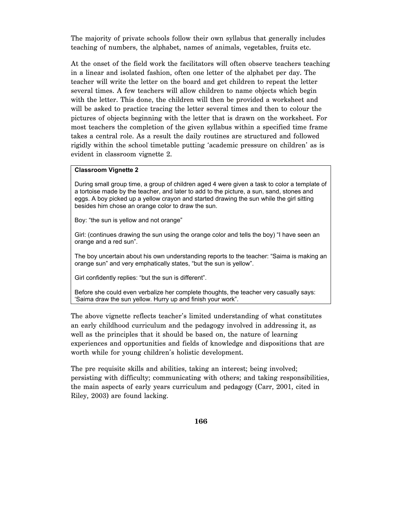The majority of private schools follow their own syllabus that generally includes teaching of numbers, the alphabet, names of animals, vegetables, fruits etc.

At the onset of the field work the facilitators will often observe teachers teaching in a linear and isolated fashion, often one letter of the alphabet per day. The teacher will write the letter on the board and get children to repeat the letter several times. A few teachers will allow children to name objects which begin with the letter. This done, the children will then be provided a worksheet and will be asked to practice tracing the letter several times and then to colour the pictures of objects beginning with the letter that is drawn on the worksheet. For most teachers the completion of the given syllabus within a specified time frame takes a central role. As a result the daily routines are structured and followed rigidly within the school timetable putting 'academic pressure on children' as is evident in classroom vignette 2.

#### **Classroom Vignette 2**

During small group time, a group of children aged 4 were given a task to color a template of a tortoise made by the teacher, and later to add to the picture, a sun, sand, stones and eggs. A boy picked up a yellow crayon and started drawing the sun while the girl sitting besides him chose an orange color to draw the sun.

Boy: "the sun is yellow and not orange"

Girl: (continues drawing the sun using the orange color and tells the boy) "I have seen an orange and a red sun".

The boy uncertain about his own understanding reports to the teacher: "Saima is making an orange sun" and very emphatically states, "but the sun is yellow".

Girl confidently replies: "but the sun is different".

Before she could even verbalize her complete thoughts, the teacher very casually says: 'Saima draw the sun yellow. Hurry up and finish your work".

The above vignette reflects teacher's limited understanding of what constitutes an early childhood curriculum and the pedagogy involved in addressing it, as well as the principles that it should be based on, the nature of learning experiences and opportunities and fields of knowledge and dispositions that are worth while for young children's holistic development.

The pre requisite skills and abilities, taking an interest; being involved; persisting with difficulty; communicating with others; and taking responsibilities, the main aspects of early years curriculum and pedagogy (Carr, 2001, cited in Riley, 2003) are found lacking.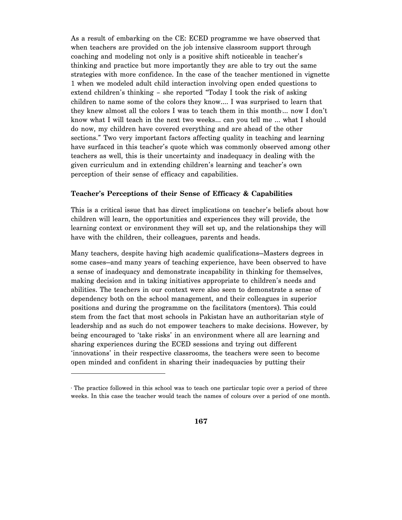As a result of embarking on the CE: ECED programme we have observed that when teachers are provided on the job intensive classroom support through coaching and modeling not only is a positive shift noticeable in teacher's thinking and practice but more importantly they are able to try out the same strategies with more confidence. In the case of the teacher mentioned in vignette 1 when we modeled adult child interaction involving open ended questions to extend children's thinking – she reported "Today I took the risk of asking children to name some of the colors they know…. I was surprised to learn that they knew almost all the colors I was to teach them in this month... now I don't know what I will teach in the next two weeks… can you tell me … what I should do now, my children have covered everything and are ahead of the other sections." Two very important factors affecting quality in teaching and learning have surfaced in this teacher's quote which was commonly observed among other teachers as well, this is their uncertainty and inadequacy in dealing with the given curriculum and in extending children's learning and teacher's own perception of their sense of efficacy and capabilities.

#### **Teacher's Perceptions of their Sense of Efficacy & Capabilities**

This is a critical issue that has direct implications on teacher's beliefs about how children will learn, the opportunities and experiences they will provide, the learning context or environment they will set up, and the relationships they will have with the children, their colleagues, parents and heads.

Many teachers, despite having high academic qualifications—Masters degrees in some cases—and many years of teaching experience, have been observed to have a sense of inadequacy and demonstrate incapability in thinking for themselves, making decision and in taking initiatives appropriate to children's needs and abilities. The teachers in our context were also seen to demonstrate a sense of dependency both on the school management, and their colleagues in superior positions and during the programme on the facilitators (mentors). This could stem from the fact that most schools in Pakistan have an authoritarian style of leadership and as such do not empower teachers to make decisions. However, by being encouraged to 'take risks' in an environment where all are learning and sharing experiences during the ECED sessions and trying out different 'innovations' in their respective classrooms, the teachers were seen to become open minded and confident in sharing their inadequacies by putting their

-

The practice followed in this school was to teach one particular topic over a period of three weeks. In this case the teacher would teach the names of colours over a period of one month.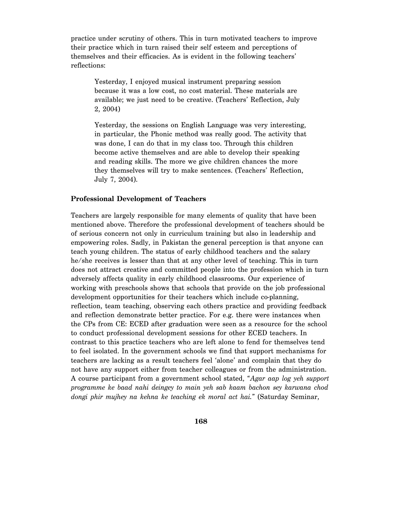practice under scrutiny of others. This in turn motivated teachers to improve their practice which in turn raised their self esteem and perceptions of themselves and their efficacies. As is evident in the following teachers' reflections:

Yesterday, I enjoyed musical instrument preparing session because it was a low cost, no cost material. These materials are available; we just need to be creative. (Teachers' Reflection, July 2, 2004)

Yesterday, the sessions on English Language was very interesting, in particular, the Phonic method was really good. The activity that was done, I can do that in my class too. Through this children become active themselves and are able to develop their speaking and reading skills. The more we give children chances the more they themselves will try to make sentences. (Teachers' Reflection, July 7, 2004).

#### **Professional Development of Teachers**

Teachers are largely responsible for many elements of quality that have been mentioned above. Therefore the professional development of teachers should be of serious concern not only in curriculum training but also in leadership and empowering roles. Sadly, in Pakistan the general perception is that anyone can teach young children. The status of early childhood teachers and the salary he/she receives is lesser than that at any other level of teaching. This in turn does not attract creative and committed people into the profession which in turn adversely affects quality in early childhood classrooms. Our experience of working with preschools shows that schools that provide on the job professional development opportunities for their teachers which include co-planning, reflection, team teaching, observing each others practice and providing feedback and reflection demonstrate better practice. For e.g. there were instances when the CPs from CE: ECED after graduation were seen as a resource for the school to conduct professional development sessions for other ECED teachers. In contrast to this practice teachers who are left alone to fend for themselves tend to feel isolated. In the government schools we find that support mechanisms for teachers are lacking as a result teachers feel 'alone' and complain that they do not have any support either from teacher colleagues or from the administration. A course participant from a government school stated, "*Agar aap log yeh support programme ke baad nahi deingey to main yeh sab kaam bachon sey karwana chod dongi phir mujhey na kehna ke teaching ek moral act hai.*" (Saturday Seminar,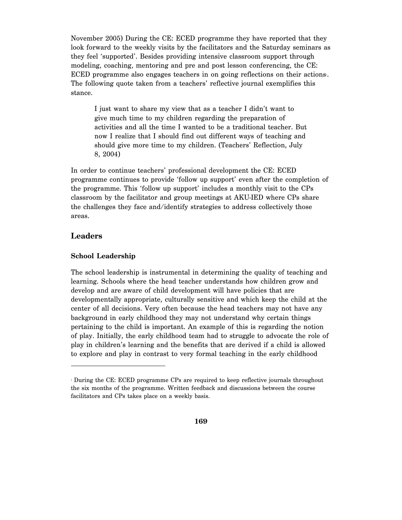November 2005) During the CE: ECED programme they have reported that they look forward to the weekly visits by the facilitators and the Saturday seminars as they feel 'supported'. Besides providing intensive classroom support through modeling, coaching, mentoring and pre and post lesson conferencing, the CE: ECED programme also engages teachers in on going reflections on their actions. The following quote taken from a teachers' reflective journal exemplifies this stance.

I just want to share my view that as a teacher I didn't want to give much time to my children regarding the preparation of activities and all the time I wanted to be a traditional teacher. But now I realize that I should find out different ways of teaching and should give more time to my children. (Teachers' Reflection, July 8, 2004)

In order to continue teachers' professional development the CE: ECED programme continues to provide 'follow up support' even after the completion of the programme. This 'follow up support' includes a monthly visit to the CPs classroom by the facilitator and group meetings at AKU-IED where CPs share the challenges they face and/identify strategies to address collectively those areas.

### **Leaders**

 $\overline{a}$ 

#### **School Leadership**

The school leadership is instrumental in determining the quality of teaching and learning. Schools where the head teacher understands how children grow and develop and are aware of child development will have policies that are developmentally appropriate, culturally sensitive and which keep the child at the center of all decisions. Very often because the head teachers may not have any background in early childhood they may not understand why certain things pertaining to the child is important. An example of this is regarding the notion of play. Initially, the early childhood team had to struggle to advocate the role of play in children's learning and the benefits that are derived if a child is allowed to explore and play in contrast to very formal teaching in the early childhood

During the CE: ECED programme CPs are required to keep reflective journals throughout the six months of the programme. Written feedback and discussions between the course facilitators and CPs takes place on a weekly basis.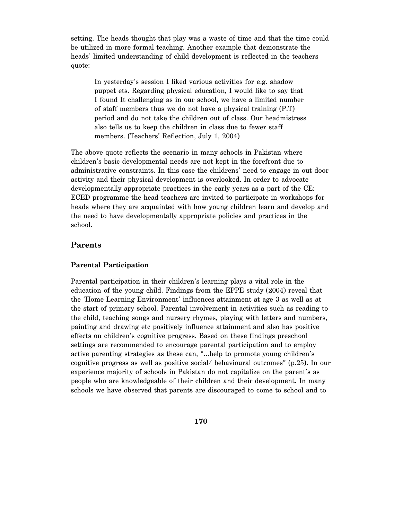setting. The heads thought that play was a waste of time and that the time could be utilized in more formal teaching. Another example that demonstrate the heads' limited understanding of child development is reflected in the teachers quote:

In yesterday's session I liked various activities for e.g. shadow puppet ets. Regarding physical education, I would like to say that I found It challenging as in our school, we have a limited number of staff members thus we do not have a physical training (P.T) period and do not take the children out of class. Our headmistress also tells us to keep the children in class due to fewer staff members. (Teachers' Reflection, July 1, 2004)

The above quote reflects the scenario in many schools in Pakistan where children's basic developmental needs are not kept in the forefront due to administrative constraints. In this case the childrens' need to engage in out door activity and their physical development is overlooked. In order to advocate developmentally appropriate practices in the early years as a part of the CE: ECED programme the head teachers are invited to participate in workshops for heads where they are acquainted with how young children learn and develop and the need to have developmentally appropriate policies and practices in the school.

### **Parents**

#### **Parental Participation**

Parental participation in their children's learning plays a vital role in the education of the young child. Findings from the EPPE study (2004) reveal that the 'Home Learning Environment' influences attainment at age 3 as well as at the start of primary school. Parental involvement in activities such as reading to the child, teaching songs and nursery rhymes, playing with letters and numbers, painting and drawing etc positively influence attainment and also has positive effects on children's cognitive progress. Based on these findings preschool settings are recommended to encourage parental participation and to employ active parenting strategies as these can, "…help to promote young children's cognitive progress as well as positive social/ behavioural outcomes" (p.25). In our experience majority of schools in Pakistan do not capitalize on the parent's as people who are knowledgeable of their children and their development. In many schools we have observed that parents are discouraged to come to school and to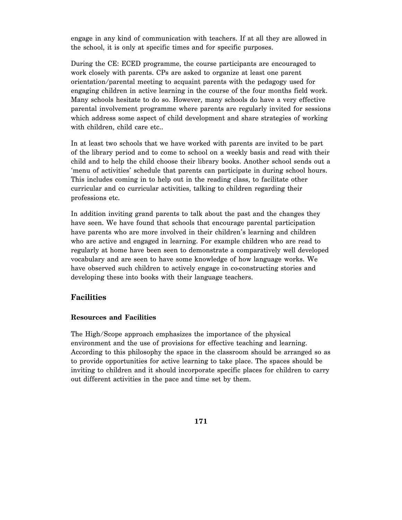engage in any kind of communication with teachers. If at all they are allowed in the school, it is only at specific times and for specific purposes.

During the CE: ECED programme, the course participants are encouraged to work closely with parents. CPs are asked to organize at least one parent orientation/parental meeting to acquaint parents with the pedagogy used for engaging children in active learning in the course of the four months field work. Many schools hesitate to do so. However, many schools do have a very effective parental involvement programme where parents are regularly invited for sessions which address some aspect of child development and share strategies of working with children, child care etc..

In at least two schools that we have worked with parents are invited to be part of the library period and to come to school on a weekly basis and read with their child and to help the child choose their library books. Another school sends out a 'menu of activities' schedule that parents can participate in during school hours. This includes coming in to help out in the reading class, to facilitate other curricular and co curricular activities, talking to children regarding their professions etc.

In addition inviting grand parents to talk about the past and the changes they have seen. We have found that schools that encourage parental participation have parents who are more involved in their children's learning and children who are active and engaged in learning. For example children who are read to regularly at home have been seen to demonstrate a comparatively well developed vocabulary and are seen to have some knowledge of how language works. We have observed such children to actively engage in co-constructing stories and developing these into books with their language teachers.

### **Facilities**

#### **Resources and Facilities**

The High/Scope approach emphasizes the importance of the physical environment and the use of provisions for effective teaching and learning. According to this philosophy the space in the classroom should be arranged so as to provide opportunities for active learning to take place. The spaces should be inviting to children and it should incorporate specific places for children to carry out different activities in the pace and time set by them.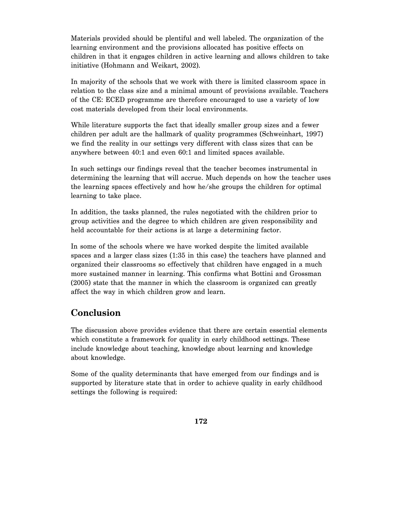Materials provided should be plentiful and well labeled. The organization of the learning environment and the provisions allocated has positive effects on children in that it engages children in active learning and allows children to take initiative (Hohmann and Weikart, 2002).

In majority of the schools that we work with there is limited classroom space in relation to the class size and a minimal amount of provisions available. Teachers of the CE: ECED programme are therefore encouraged to use a variety of low cost materials developed from their local environments.

While literature supports the fact that ideally smaller group sizes and a fewer children per adult are the hallmark of quality programmes (Schweinhart, 1997) we find the reality in our settings very different with class sizes that can be anywhere between 40:1 and even 60:1 and limited spaces available.

In such settings our findings reveal that the teacher becomes instrumental in determining the learning that will accrue. Much depends on how the teacher uses the learning spaces effectively and how he/she groups the children for optimal learning to take place.

In addition, the tasks planned, the rules negotiated with the children prior to group activities and the degree to which children are given responsibility and held accountable for their actions is at large a determining factor.

In some of the schools where we have worked despite the limited available spaces and a larger class sizes (1:35 in this case) the teachers have planned and organized their classrooms so effectively that children have engaged in a much more sustained manner in learning. This confirms what Bottini and Grossman (2005) state that the manner in which the classroom is organized can greatly affect the way in which children grow and learn.

# **Conclusion**

The discussion above provides evidence that there are certain essential elements which constitute a framework for quality in early childhood settings. These include knowledge about teaching, knowledge about learning and knowledge about knowledge.

Some of the quality determinants that have emerged from our findings and is supported by literature state that in order to achieve quality in early childhood settings the following is required: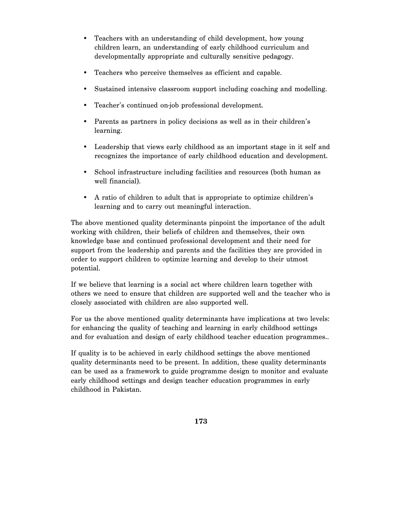- Teachers with an understanding of child development, how young children learn, an understanding of early childhood curriculum and developmentally appropriate and culturally sensitive pedagogy.
- Teachers who perceive themselves as efficient and capable.
- Sustained intensive classroom support including coaching and modelling.
- Teacher's continued on-job professional development.
- Parents as partners in policy decisions as well as in their children's learning.
- Leadership that views early childhood as an important stage in it self and recognizes the importance of early childhood education and development.
- School infrastructure including facilities and resources (both human as well financial).
- A ratio of children to adult that is appropriate to optimize children's learning and to carry out meaningful interaction.

The above mentioned quality determinants pinpoint the importance of the adult working with children, their beliefs of children and themselves, their own knowledge base and continued professional development and their need for support from the leadership and parents and the facilities they are provided in order to support children to optimize learning and develop to their utmost potential.

If we believe that learning is a social act where children learn together with others we need to ensure that children are supported well and the teacher who is closely associated with children are also supported well.

For us the above mentioned quality determinants have implications at two levels: for enhancing the quality of teaching and learning in early childhood settings and for evaluation and design of early childhood teacher education programmes..

If quality is to be achieved in early childhood settings the above mentioned quality determinants need to be present. In addition, these quality determinants can be used as a framework to guide programme design to monitor and evaluate early childhood settings and design teacher education programmes in early childhood in Pakistan.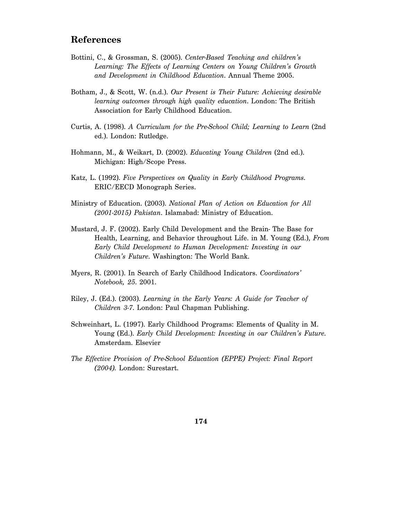### **References**

- Bottini, C., & Grossman, S. (2005). *Center-Based Teaching and children's Learning: The Effects of Learning Centers on Young Children's Growth and Development in Childhood Education*. Annual Theme 2005.
- Botham, J., & Scott, W. (n.d.). *Our Present is Their Future: Achieving desirable learning outcomes through high quality education*. London: The British Association for Early Childhood Education.
- Curtis, A. (1998). *A Curriculum for the Pre-School Child; Learning to Learn* (2nd ed.). London: Rutledge.
- Hohmann, M., & Weikart, D. (2002). *Educating Young Children* (2nd ed.). Michigan: High/Scope Press.
- Katz, L. (1992). *Five Perspectives on Quality in Early Childhood Programs*. ERIC/EECD Monograph Series.
- Ministry of Education. (2003). *National Plan of Action on Education for All (2001-2015) Pakistan*. Islamabad: Ministry of Education.
- Mustard, J. F. (2002). Early Child Development and the Brain- The Base for Health, Learning, and Behavior throughout Life. in M. Young (Ed.), *From Early Child Development to Human Development: Investing in our Children's Future*. Washington: The World Bank.
- Myers, R. (2001). In Search of Early Childhood Indicators. *Coordinators' Notebook, 25*. 2001.
- Riley, J. (Ed.). (2003). *Learning in the Early Years: A Guide for Teacher of Children 3-7*. London: Paul Chapman Publishing.
- Schweinhart, L. (1997). Early Childhood Programs: Elements of Quality in M. Young (Ed.). *Early Child Development: Investing in our Children's Future*. Amsterdam. Elsevier
- *The Effective Provision of Pre-School Education (EPPE) Project: Final Report (2004).* London: Surestart.